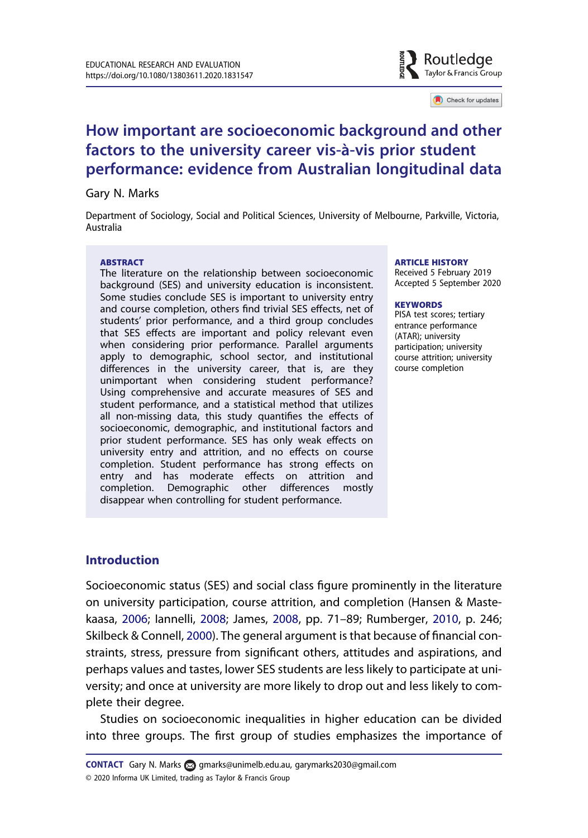

Check for updates

# How important are socioeconomic background and other factors to the university career vis-à-vis prior student performance: evidence from Australian longitudinal data

#### Gary N. Marks

Department of Sociology, Social and Political Sciences, University of Melbourne, Parkville, Victoria, Australia

#### **ABSTRACT**

The literature on the relationship between socioeconomic background (SES) and university education is inconsistent. Some studies conclude SES is important to university entry and course completion, others find trivial SES effects, net of students' prior performance, and a third group concludes that SES effects are important and policy relevant even when considering prior performance. Parallel arguments apply to demographic, school sector, and institutional differences in the university career, that is, are they unimportant when considering student performance? Using comprehensive and accurate measures of SES and student performance, and a statistical method that utilizes all non-missing data, this study quantifies the effects of socioeconomic, demographic, and institutional factors and prior student performance. SES has only weak effects on university entry and attrition, and no effects on course completion. Student performance has strong effects on entry and has moderate effects on attrition and completion. Demographic other differences mostly disappear when controlling for student performance.

#### ARTICLE HISTORY

Received 5 February 2019 Accepted 5 September 2020

#### **KEYWORDS**

PISA test scores; tertiary entrance performance (ATAR); university participation; university course attrition; university course completion

### Introduction

Socioeconomic status (SES) and social class figure prominently in the literature on university participation, course attrition, and completion (Hansen & Mastekaasa, 2006; Iannelli, 2008; James, 2008, pp. 71–89; Rumberger, 2010, p. 246; Skilbeck & Connell, 2000). The general argument is that because of financial constraints, stress, pressure from significant others, attitudes and aspirations, and perhaps values and tastes, lower SES students are less likely to participate at university; and once at university are more likely to drop out and less likely to complete their degree.

Studies on socioeconomic inequalities in higher education can be divided into three groups. The first group of studies emphasizes the importance of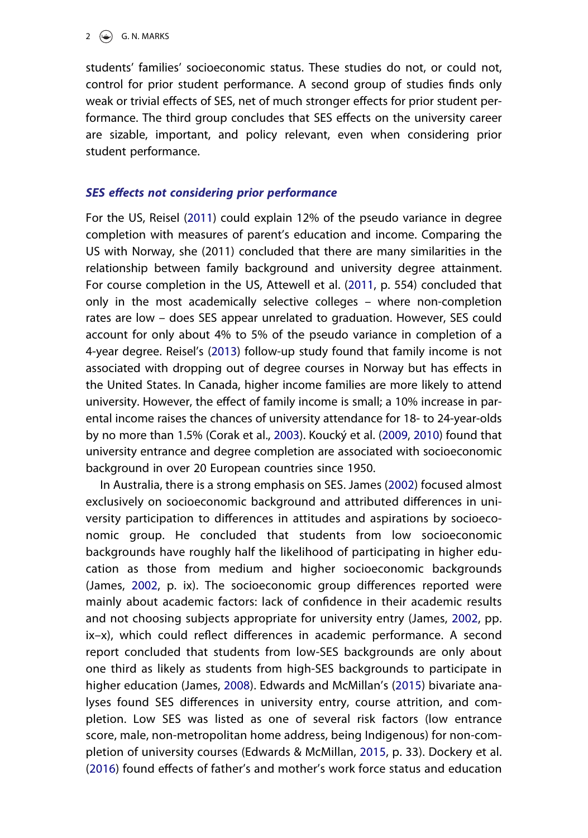students' families' socioeconomic status. These studies do not, or could not, control for prior student performance. A second group of studies finds only weak or trivial effects of SES, net of much stronger effects for prior student performance. The third group concludes that SES effects on the university career are sizable, important, and policy relevant, even when considering prior student performance.

### SES effects not considering prior performance

For the US, Reisel (2011) could explain 12% of the pseudo variance in degree completion with measures of parent's education and income. Comparing the US with Norway, she (2011) concluded that there are many similarities in the relationship between family background and university degree attainment. For course completion in the US, Attewell et al. (2011, p. 554) concluded that only in the most academically selective colleges – where non-completion rates are low – does SES appear unrelated to graduation. However, SES could account for only about 4% to 5% of the pseudo variance in completion of a 4-year degree. Reisel's (2013) follow-up study found that family income is not associated with dropping out of degree courses in Norway but has effects in the United States. In Canada, higher income families are more likely to attend university. However, the effect of family income is small; a 10% increase in parental income raises the chances of university attendance for 18- to 24-year-olds by no more than 1.5% (Corak et al., 2003). Koucký et al. (2009, 2010) found that university entrance and degree completion are associated with socioeconomic background in over 20 European countries since 1950.

In Australia, there is a strong emphasis on SES. James (2002) focused almost exclusively on socioeconomic background and attributed differences in university participation to differences in attitudes and aspirations by socioeconomic group. He concluded that students from low socioeconomic backgrounds have roughly half the likelihood of participating in higher education as those from medium and higher socioeconomic backgrounds (James, 2002, p. ix). The socioeconomic group differences reported were mainly about academic factors: lack of confidence in their academic results and not choosing subjects appropriate for university entry (James, 2002, pp. ix–x), which could reflect differences in academic performance. A second report concluded that students from low-SES backgrounds are only about one third as likely as students from high-SES backgrounds to participate in higher education (James, 2008). Edwards and McMillan's (2015) bivariate analyses found SES differences in university entry, course attrition, and completion. Low SES was listed as one of several risk factors (low entrance score, male, non-metropolitan home address, being Indigenous) for non-completion of university courses (Edwards & McMillan, 2015, p. 33). Dockery et al. (2016) found effects of father's and mother's work force status and education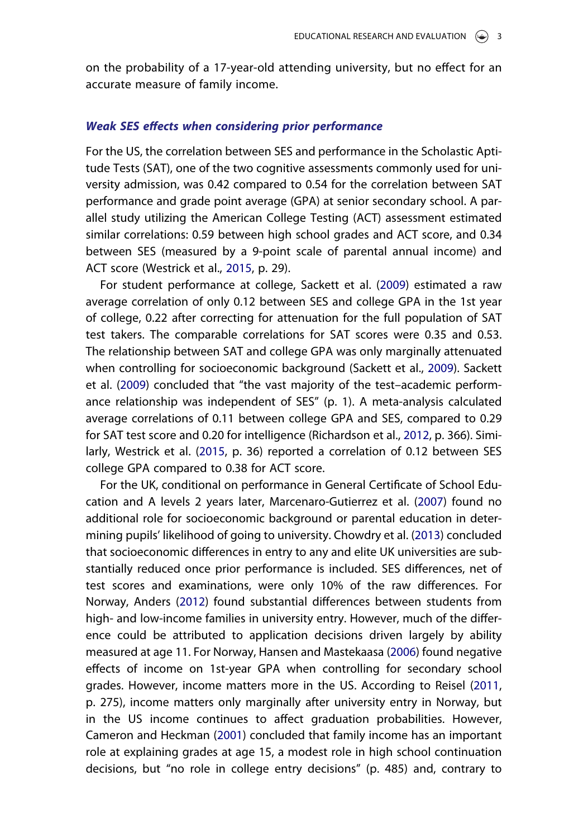on the probability of a 17-year-old attending university, but no effect for an accurate measure of family income.

#### Weak SES effects when considering prior performance

For the US, the correlation between SES and performance in the Scholastic Aptitude Tests (SAT), one of the two cognitive assessments commonly used for university admission, was 0.42 compared to 0.54 for the correlation between SAT performance and grade point average (GPA) at senior secondary school. A parallel study utilizing the American College Testing (ACT) assessment estimated similar correlations: 0.59 between high school grades and ACT score, and 0.34 between SES (measured by a 9-point scale of parental annual income) and ACT score (Westrick et al., 2015, p. 29).

For student performance at college, Sackett et al. (2009) estimated a raw average correlation of only 0.12 between SES and college GPA in the 1st year of college, 0.22 after correcting for attenuation for the full population of SAT test takers. The comparable correlations for SAT scores were 0.35 and 0.53. The relationship between SAT and college GPA was only marginally attenuated when controlling for socioeconomic background (Sackett et al., 2009). Sackett et al. (2009) concluded that "the vast majority of the test–academic performance relationship was independent of SES" (p. 1). A meta-analysis calculated average correlations of 0.11 between college GPA and SES, compared to 0.29 for SAT test score and 0.20 for intelligence (Richardson et al., 2012, p. 366). Similarly, Westrick et al. (2015, p. 36) reported a correlation of 0.12 between SES college GPA compared to 0.38 for ACT score.

For the UK, conditional on performance in General Certificate of School Education and A levels 2 years later, Marcenaro-Gutierrez et al. (2007) found no additional role for socioeconomic background or parental education in determining pupils' likelihood of going to university. Chowdry et al. (2013) concluded that socioeconomic differences in entry to any and elite UK universities are substantially reduced once prior performance is included. SES differences, net of test scores and examinations, were only 10% of the raw differences. For Norway, Anders (2012) found substantial differences between students from high- and low-income families in university entry. However, much of the difference could be attributed to application decisions driven largely by ability measured at age 11. For Norway, Hansen and Mastekaasa (2006) found negative effects of income on 1st-year GPA when controlling for secondary school grades. However, income matters more in the US. According to Reisel (2011, p. 275), income matters only marginally after university entry in Norway, but in the US income continues to affect graduation probabilities. However, Cameron and Heckman (2001) concluded that family income has an important role at explaining grades at age 15, a modest role in high school continuation decisions, but "no role in college entry decisions" (p. 485) and, contrary to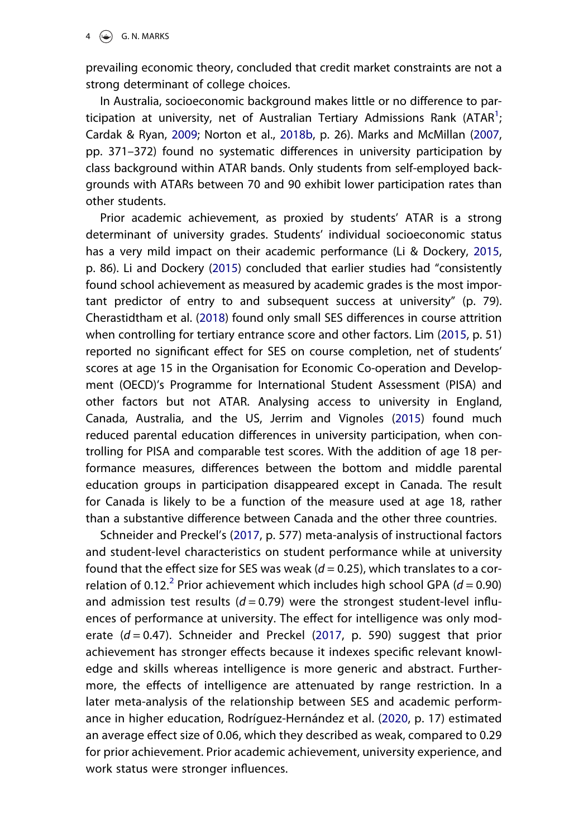prevailing economic theory, concluded that credit market constraints are not a strong determinant of college choices.

In Australia, socioeconomic background makes little or no difference to participation at university, net of Australian Tertiary Admissions Rank (ATAR<sup>1</sup>; Cardak & Ryan, 2009; Norton et al., 2018b, p. 26). Marks and McMillan (2007, pp. 371–372) found no systematic differences in university participation by class background within ATAR bands. Only students from self-employed backgrounds with ATARs between 70 and 90 exhibit lower participation rates than other students.

Prior academic achievement, as proxied by students' ATAR is a strong determinant of university grades. Students' individual socioeconomic status has a very mild impact on their academic performance (Li & Dockery, 2015, p. 86). Li and Dockery (2015) concluded that earlier studies had "consistently found school achievement as measured by academic grades is the most important predictor of entry to and subsequent success at university" (p. 79). Cherastidtham et al. (2018) found only small SES differences in course attrition when controlling for tertiary entrance score and other factors. Lim (2015, p. 51) reported no significant effect for SES on course completion, net of students' scores at age 15 in the Organisation for Economic Co-operation and Development (OECD)'s Programme for International Student Assessment (PISA) and other factors but not ATAR. Analysing access to university in England, Canada, Australia, and the US, Jerrim and Vignoles (2015) found much reduced parental education differences in university participation, when controlling for PISA and comparable test scores. With the addition of age 18 performance measures, differences between the bottom and middle parental education groups in participation disappeared except in Canada. The result for Canada is likely to be a function of the measure used at age 18, rather than a substantive difference between Canada and the other three countries.

Schneider and Preckel's (2017, p. 577) meta-analysis of instructional factors and student-level characteristics on student performance while at university found that the effect size for SES was weak  $(d = 0.25)$ , which translates to a correlation of 0.12.<sup>2</sup> Prior achievement which includes high school GPA ( $d = 0.90$ ) and admission test results  $(d = 0.79)$  were the strongest student-level influences of performance at university. The effect for intelligence was only moderate (*d* = 0.47). Schneider and Preckel (2017, p. 590) suggest that prior achievement has stronger effects because it indexes specific relevant knowledge and skills whereas intelligence is more generic and abstract. Furthermore, the effects of intelligence are attenuated by range restriction. In a later meta-analysis of the relationship between SES and academic performance in higher education, Rodríguez-Hernández et al. (2020, p. 17) estimated an average effect size of 0.06, which they described as weak, compared to 0.29 for prior achievement. Prior academic achievement, university experience, and work status were stronger influences.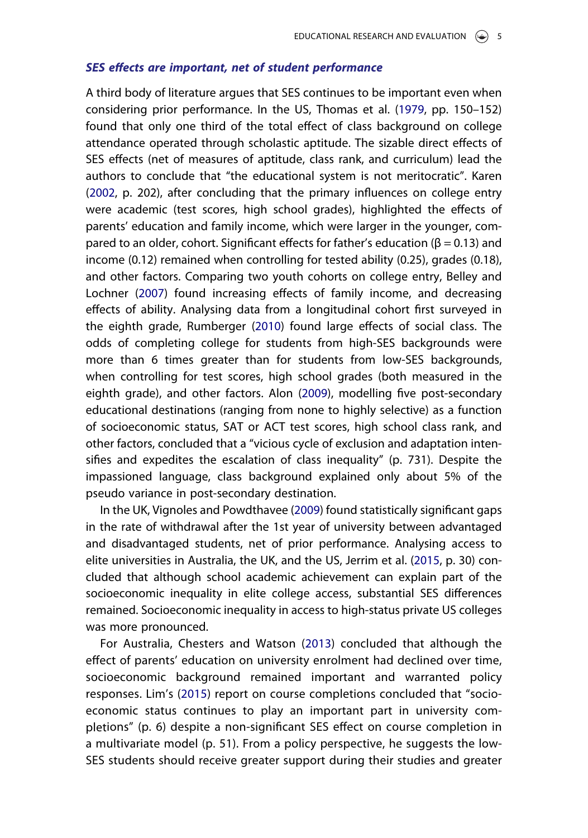### SES effects are important, net of student performance

A third body of literature argues that SES continues to be important even when considering prior performance. In the US, Thomas et al. (1979, pp. 150–152) found that only one third of the total effect of class background on college attendance operated through scholastic aptitude. The sizable direct effects of SES effects (net of measures of aptitude, class rank, and curriculum) lead the authors to conclude that "the educational system is not meritocratic". Karen (2002, p. 202), after concluding that the primary influences on college entry were academic (test scores, high school grades), highlighted the effects of parents' education and family income, which were larger in the younger, compared to an older, cohort. Significant effects for father's education (β = 0.13) and income (0.12) remained when controlling for tested ability (0.25), grades (0.18), and other factors. Comparing two youth cohorts on college entry, Belley and Lochner (2007) found increasing effects of family income, and decreasing effects of ability. Analysing data from a longitudinal cohort first surveyed in the eighth grade, Rumberger (2010) found large effects of social class. The odds of completing college for students from high-SES backgrounds were more than 6 times greater than for students from low-SES backgrounds, when controlling for test scores, high school grades (both measured in the eighth grade), and other factors. Alon (2009), modelling five post-secondary educational destinations (ranging from none to highly selective) as a function of socioeconomic status, SAT or ACT test scores, high school class rank, and other factors, concluded that a "vicious cycle of exclusion and adaptation intensifies and expedites the escalation of class inequality" (p. 731). Despite the impassioned language, class background explained only about 5% of the pseudo variance in post-secondary destination.

In the UK, Vignoles and Powdthavee (2009) found statistically significant gaps in the rate of withdrawal after the 1st year of university between advantaged and disadvantaged students, net of prior performance. Analysing access to elite universities in Australia, the UK, and the US, Jerrim et al. (2015, p. 30) concluded that although school academic achievement can explain part of the socioeconomic inequality in elite college access, substantial SES differences remained. Socioeconomic inequality in access to high-status private US colleges was more pronounced.

For Australia, Chesters and Watson (2013) concluded that although the effect of parents' education on university enrolment had declined over time, socioeconomic background remained important and warranted policy responses. Lim's (2015) report on course completions concluded that "socioeconomic status continues to play an important part in university completions" (p. 6) despite a non-significant SES effect on course completion in a multivariate model (p. 51). From a policy perspective, he suggests the low-SES students should receive greater support during their studies and greater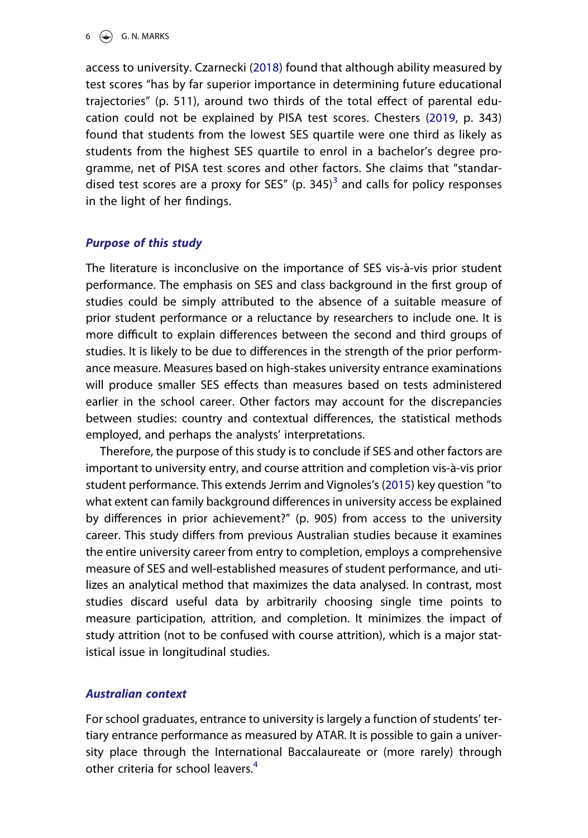$6 \quad \circledast$  G. N. MARKS

access to university. Czarnecki (2018) found that although ability measured by test scores "has by far superior importance in determining future educational trajectories" (p. 511), around two thirds of the total effect of parental education could not be explained by PISA test scores. Chesters (2019, p. 343) found that students from the lowest SES quartile were one third as likely as students from the highest SES quartile to enrol in a bachelor's degree programme, net of PISA test scores and other factors. She claims that "standardised test scores are a proxy for SES" (p. 345) $3$  and calls for policy responses in the light of her findings.

## Purpose of this study

The literature is inconclusive on the importance of SES vis-à-vis prior student performance. The emphasis on SES and class background in the first group of studies could be simply attributed to the absence of a suitable measure of prior student performance or a reluctance by researchers to include one. It is more difficult to explain differences between the second and third groups of studies. It is likely to be due to differences in the strength of the prior performance measure. Measures based on high-stakes university entrance examinations will produce smaller SES effects than measures based on tests administered earlier in the school career. Other factors may account for the discrepancies between studies: country and contextual differences, the statistical methods employed, and perhaps the analysts' interpretations.

Therefore, the purpose of this study is to conclude if SES and other factors are important to university entry, and course attrition and completion vis-à-vis prior student performance. This extends Jerrim and Vignoles's (2015) key question "to what extent can family background differences in university access be explained by differences in prior achievement?" (p. 905) from access to the university career. This study differs from previous Australian studies because it examines the entire university career from entry to completion, employs a comprehensive measure of SES and well-established measures of student performance, and utilizes an analytical method that maximizes the data analysed. In contrast, most studies discard useful data by arbitrarily choosing single time points to measure participation, attrition, and completion. It minimizes the impact of study attrition (not to be confused with course attrition), which is a major statistical issue in longitudinal studies.

## Australian context

For school graduates, entrance to university is largely a function of students' tertiary entrance performance as measured by ATAR. It is possible to gain a university place through the International Baccalaureate or (more rarely) through other criteria for school leavers.<sup>4</sup>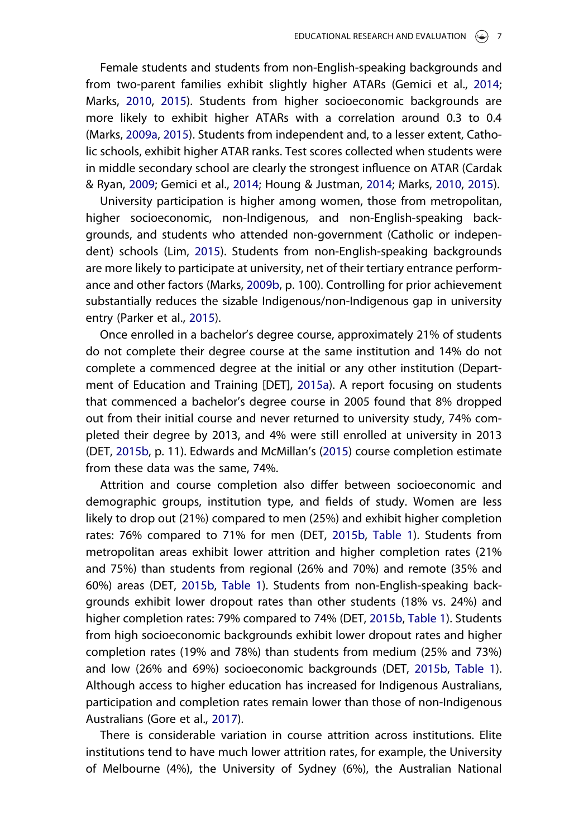Female students and students from non-English-speaking backgrounds and from two-parent families exhibit slightly higher ATARs (Gemici et al., 2014; Marks, 2010, 2015). Students from higher socioeconomic backgrounds are more likely to exhibit higher ATARs with a correlation around 0.3 to 0.4 (Marks, 2009a, 2015). Students from independent and, to a lesser extent, Catholic schools, exhibit higher ATAR ranks. Test scores collected when students were in middle secondary school are clearly the strongest influence on ATAR (Cardak & Ryan, 2009; Gemici et al., 2014; Houng & Justman, 2014; Marks, 2010, 2015).

University participation is higher among women, those from metropolitan, higher socioeconomic, non-Indigenous, and non-English-speaking backgrounds, and students who attended non-government (Catholic or independent) schools (Lim, 2015). Students from non-English-speaking backgrounds are more likely to participate at university, net of their tertiary entrance performance and other factors (Marks, 2009b, p. 100). Controlling for prior achievement substantially reduces the sizable Indigenous/non-Indigenous gap in university entry (Parker et al., 2015).

Once enrolled in a bachelor's degree course, approximately 21% of students do not complete their degree course at the same institution and 14% do not complete a commenced degree at the initial or any other institution (Department of Education and Training [DET], 2015a). A report focusing on students that commenced a bachelor's degree course in 2005 found that 8% dropped out from their initial course and never returned to university study, 74% completed their degree by 2013, and 4% were still enrolled at university in 2013 (DET, 2015b, p. 11). Edwards and McMillan's (2015) course completion estimate from these data was the same, 74%.

Attrition and course completion also differ between socioeconomic and demographic groups, institution type, and fields of study. Women are less likely to drop out (21%) compared to men (25%) and exhibit higher completion rates: 76% compared to 71% for men (DET, 2015b, Table 1). Students from metropolitan areas exhibit lower attrition and higher completion rates (21% and 75%) than students from regional (26% and 70%) and remote (35% and 60%) areas (DET, 2015b, Table 1). Students from non-English-speaking backgrounds exhibit lower dropout rates than other students (18% vs. 24%) and higher completion rates: 79% compared to 74% (DET, 2015b, Table 1). Students from high socioeconomic backgrounds exhibit lower dropout rates and higher completion rates (19% and 78%) than students from medium (25% and 73%) and low (26% and 69%) socioeconomic backgrounds (DET, 2015b, Table 1). Although access to higher education has increased for Indigenous Australians, participation and completion rates remain lower than those of non-Indigenous Australians (Gore et al., 2017).

There is considerable variation in course attrition across institutions. Elite institutions tend to have much lower attrition rates, for example, the University of Melbourne (4%), the University of Sydney (6%), the Australian National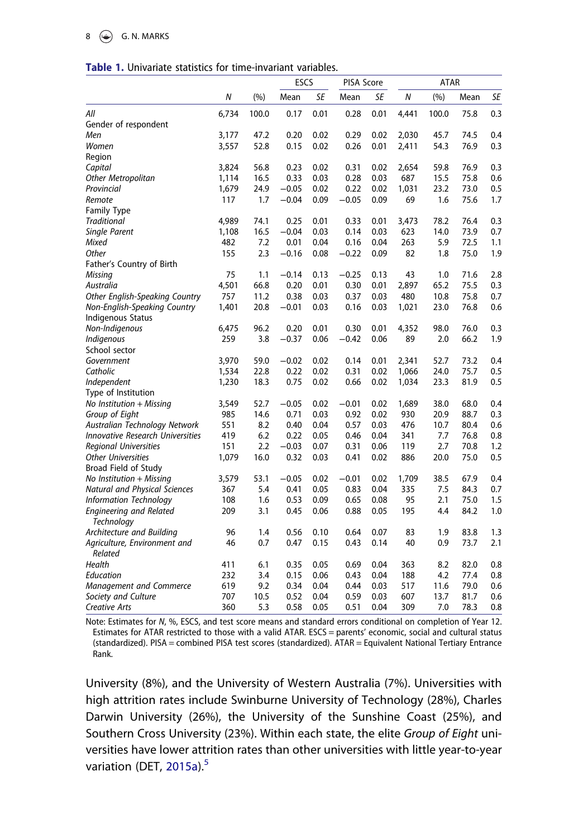#### $\circ$  G. N. MARKS

|  | <b>Table 1.</b> Univariate statistics for time-invariant variables. |  |  |  |
|--|---------------------------------------------------------------------|--|--|--|
|  |                                                                     |  |  |  |

|                                  |       |       | <b>ESCS</b> |           | PISA Score |      |       | <b>ATAR</b> |      |     |  |  |
|----------------------------------|-------|-------|-------------|-----------|------------|------|-------|-------------|------|-----|--|--|
|                                  | Ν     | (%)   | Mean        | <b>SE</b> | Mean       | SE   | N     | (%)         | Mean | SE  |  |  |
| Αll                              | 6,734 | 100.0 | 0.17        | 0.01      | 0.28       | 0.01 | 4,441 | 100.0       | 75.8 | 0.3 |  |  |
| Gender of respondent             |       |       |             |           |            |      |       |             |      |     |  |  |
| Men                              | 3,177 | 47.2  | 0.20        | 0.02      | 0.29       | 0.02 | 2,030 | 45.7        | 74.5 | 0.4 |  |  |
| Women                            | 3,557 | 52.8  | 0.15        | 0.02      | 0.26       | 0.01 | 2,411 | 54.3        | 76.9 | 0.3 |  |  |
| Region                           |       |       |             |           |            |      |       |             |      |     |  |  |
| Capital                          | 3,824 | 56.8  | 0.23        | 0.02      | 0.31       | 0.02 | 2,654 | 59.8        | 76.9 | 0.3 |  |  |
| Other Metropolitan               | 1,114 | 16.5  | 0.33        | 0.03      | 0.28       | 0.03 | 687   | 15.5        | 75.8 | 0.6 |  |  |
| Provincial                       | 1,679 | 24.9  | $-0.05$     | 0.02      | 0.22       | 0.02 | 1,031 | 23.2        | 73.0 | 0.5 |  |  |
| Remote                           | 117   | 1.7   | $-0.04$     | 0.09      | $-0.05$    | 0.09 | 69    | 1.6         | 75.6 | 1.7 |  |  |
| <b>Family Type</b>               |       |       |             |           |            |      |       |             |      |     |  |  |
| <b>Traditional</b>               | 4,989 | 74.1  | 0.25        | 0.01      | 0.33       | 0.01 | 3,473 | 78.2        | 76.4 | 0.3 |  |  |
| Single Parent                    | 1,108 | 16.5  | $-0.04$     | 0.03      | 0.14       | 0.03 | 623   | 14.0        | 73.9 | 0.7 |  |  |
| Mixed                            | 482   | 7.2   | 0.01        | 0.04      | 0.16       | 0.04 | 263   | 5.9         | 72.5 | 1.1 |  |  |
| Other                            | 155   | 2.3   | $-0.16$     | 0.08      | $-0.22$    | 0.09 | 82    | 1.8         | 75.0 | 1.9 |  |  |
| Father's Country of Birth        |       |       |             |           |            |      |       |             |      |     |  |  |
| Missing                          | 75    | 1.1   | $-0.14$     | 0.13      | $-0.25$    | 0.13 | 43    | 1.0         | 71.6 | 2.8 |  |  |
| Australia                        | 4,501 | 66.8  | 0.20        | 0.01      | 0.30       | 0.01 | 2,897 | 65.2        | 75.5 | 0.3 |  |  |
| Other English-Speaking Country   | 757   | 11.2  | 0.38        | 0.03      | 0.37       | 0.03 | 480   | 10.8        | 75.8 | 0.7 |  |  |
| Non-English-Speaking Country     | 1,401 | 20.8  | $-0.01$     | 0.03      | 0.16       | 0.03 | 1,021 | 23.0        | 76.8 | 0.6 |  |  |
| Indigenous Status                |       |       |             |           |            |      |       |             |      |     |  |  |
| Non-Indigenous                   | 6,475 | 96.2  | 0.20        | 0.01      | 0.30       | 0.01 | 4,352 | 98.0        | 76.0 | 0.3 |  |  |
| Indigenous                       | 259   | 3.8   | $-0.37$     | 0.06      | $-0.42$    | 0.06 | 89    | 2.0         | 66.2 | 1.9 |  |  |
| School sector                    |       |       |             |           |            |      |       |             |      |     |  |  |
| Government                       | 3,970 | 59.0  | $-0.02$     | 0.02      | 0.14       | 0.01 | 2,341 | 52.7        | 73.2 | 0.4 |  |  |
| Catholic                         | 1,534 | 22.8  | 0.22        | 0.02      | 0.31       | 0.02 | 1,066 | 24.0        | 75.7 | 0.5 |  |  |
| Independent                      | 1,230 | 18.3  | 0.75        | 0.02      | 0.66       | 0.02 | 1,034 | 23.3        | 81.9 | 0.5 |  |  |
| Type of Institution              |       |       |             |           |            |      |       |             |      |     |  |  |
| No Institution + Missing         | 3,549 | 52.7  | $-0.05$     | 0.02      | $-0.01$    | 0.02 | 1,689 | 38.0        | 68.0 | 0.4 |  |  |
| Group of Eight                   | 985   | 14.6  | 0.71        | 0.03      | 0.92       | 0.02 | 930   | 20.9        | 88.7 | 0.3 |  |  |
| Australian Technology Network    | 551   | 8.2   | 0.40        | 0.04      | 0.57       | 0.03 | 476   | 10.7        | 80.4 | 0.6 |  |  |
| Innovative Research Universities | 419   | 6.2   | 0.22        | 0.05      | 0.46       | 0.04 | 341   | 7.7         | 76.8 | 0.8 |  |  |
| Regional Universities            | 151   | 2.2   | $-0.03$     | 0.07      | 0.31       | 0.06 | 119   | 2.7         | 70.8 | 1.2 |  |  |
| <b>Other Universities</b>        | 1.079 | 16.0  | 0.32        | 0.03      | 0.41       | 0.02 | 886   | 20.0        | 75.0 | 0.5 |  |  |
| Broad Field of Study             |       |       |             |           |            |      |       |             |      |     |  |  |
| No Institution + Missing         | 3,579 | 53.1  | $-0.05$     | 0.02      | $-0.01$    | 0.02 | 1,709 | 38.5        | 67.9 | 0.4 |  |  |
| Natural and Physical Sciences    | 367   | 5.4   | 0.41        | 0.05      | 0.83       | 0.04 | 335   | 7.5         | 84.3 | 0.7 |  |  |
| Information Technology           | 108   | 1.6   | 0.53        | 0.09      | 0.65       | 0.08 | 95    | 2.1         | 75.0 | 1.5 |  |  |
| <b>Engineering and Related</b>   | 209   | 3.1   | 0.45        | 0.06      | 0.88       | 0.05 | 195   | 4.4         | 84.2 | 1.0 |  |  |
| Technology                       |       |       |             |           |            |      |       |             |      |     |  |  |
| Architecture and Building        | 96    | 1.4   | 0.56        | 0.10      | 0.64       | 0.07 | 83    | 1.9         | 83.8 | 1.3 |  |  |
| Agriculture, Environment and     | 46    | 0.7   | 0.47        | 0.15      | 0.43       | 0.14 | 40    | 0.9         | 73.7 | 2.1 |  |  |
| Related                          |       |       |             |           |            |      |       |             |      |     |  |  |
| Health                           | 411   | 6.1   | 0.35        | 0.05      | 0.69       | 0.04 | 363   | 8.2         | 82.0 | 0.8 |  |  |
| Education                        | 232   | 3.4   | 0.15        | 0.06      | 0.43       | 0.04 | 188   | 4.2         | 77.4 | 0.8 |  |  |
| Management and Commerce          | 619   | 9.2   | 0.34        | 0.04      | 0.44       | 0.03 | 517   | 11.6        | 79.0 | 0.6 |  |  |
| Society and Culture              | 707   | 10.5  | 0.52        | 0.04      | 0.59       | 0.03 | 607   | 13.7        | 81.7 | 0.6 |  |  |
| <b>Creative Arts</b>             | 360   | 5.3   | 0.58        | 0.05      | 0.51       | 0.04 | 309   | 7.0         | 78.3 | 0.8 |  |  |

Note: Estimates for N, %, ESCS, and test score means and standard errors conditional on completion of Year 12. Estimates for ATAR restricted to those with a valid ATAR. ESCS = parents' economic, social and cultural status (standardized). PISA = combined PISA test scores (standardized). ATAR = Equivalent National Tertiary Entrance Rank.

University (8%), and the University of Western Australia (7%). Universities with high attrition rates include Swinburne University of Technology (28%), Charles Darwin University (26%), the University of the Sunshine Coast (25%), and Southern Cross University (23%). Within each state, the elite *Group of Eight* universities have lower attrition rates than other universities with little year-to-year variation (DET, 2015a).<sup>5</sup>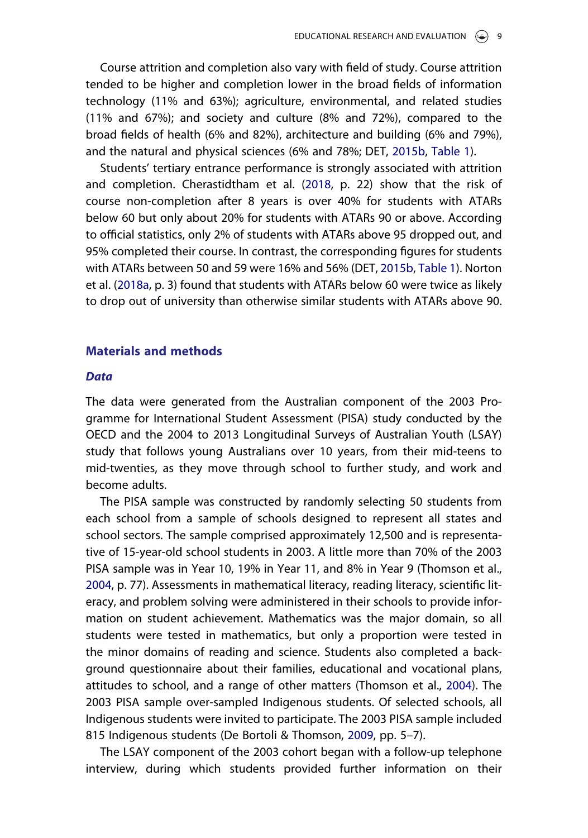Course attrition and completion also vary with field of study. Course attrition tended to be higher and completion lower in the broad fields of information technology (11% and 63%); agriculture, environmental, and related studies (11% and 67%); and society and culture (8% and 72%), compared to the broad fields of health (6% and 82%), architecture and building (6% and 79%), and the natural and physical sciences (6% and 78%; DET, 2015b, Table 1).

Students' tertiary entrance performance is strongly associated with attrition and completion. Cherastidtham et al. (2018, p. 22) show that the risk of course non-completion after 8 years is over 40% for students with ATARs below 60 but only about 20% for students with ATARs 90 or above. According to official statistics, only 2% of students with ATARs above 95 dropped out, and 95% completed their course. In contrast, the corresponding figures for students with ATARs between 50 and 59 were 16% and 56% (DET, 2015b, Table 1). Norton et al. (2018a, p. 3) found that students with ATARs below 60 were twice as likely to drop out of university than otherwise similar students with ATARs above 90.

### Materials and methods

#### **Data**

The data were generated from the Australian component of the 2003 Programme for International Student Assessment (PISA) study conducted by the OECD and the 2004 to 2013 Longitudinal Surveys of Australian Youth (LSAY) study that follows young Australians over 10 years, from their mid-teens to mid-twenties, as they move through school to further study, and work and become adults.

The PISA sample was constructed by randomly selecting 50 students from each school from a sample of schools designed to represent all states and school sectors. The sample comprised approximately 12,500 and is representative of 15-year-old school students in 2003. A little more than 70% of the 2003 PISA sample was in Year 10, 19% in Year 11, and 8% in Year 9 (Thomson et al., 2004, p. 77). Assessments in mathematical literacy, reading literacy, scientific literacy, and problem solving were administered in their schools to provide information on student achievement. Mathematics was the major domain, so all students were tested in mathematics, but only a proportion were tested in the minor domains of reading and science. Students also completed a background questionnaire about their families, educational and vocational plans, attitudes to school, and a range of other matters (Thomson et al., 2004). The 2003 PISA sample over-sampled Indigenous students. Of selected schools, all Indigenous students were invited to participate. The 2003 PISA sample included 815 Indigenous students (De Bortoli & Thomson, 2009, pp. 5–7).

The LSAY component of the 2003 cohort began with a follow-up telephone interview, during which students provided further information on their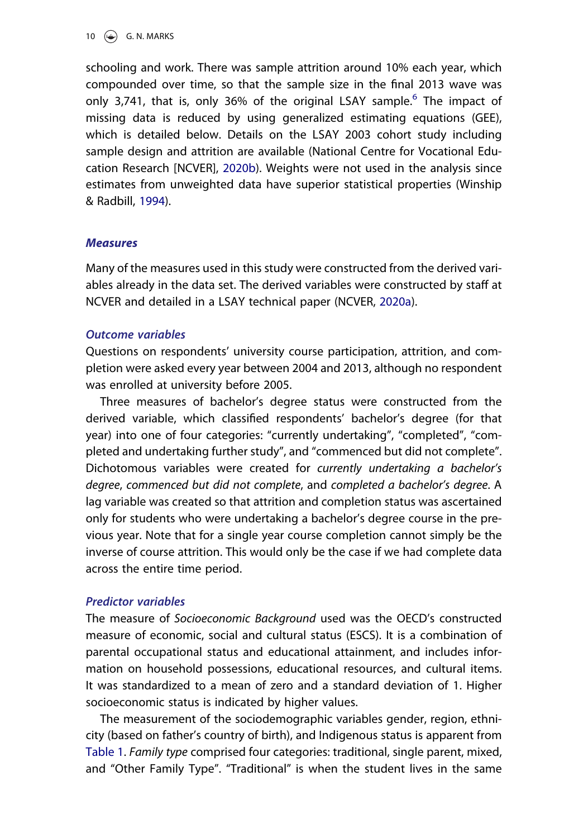schooling and work. There was sample attrition around 10% each year, which compounded over time, so that the sample size in the final 2013 wave was only 3,741, that is, only 36% of the original LSAY sample.<sup>6</sup> The impact of missing data is reduced by using generalized estimating equations (GEE), which is detailed below. Details on the LSAY 2003 cohort study including sample design and attrition are available (National Centre for Vocational Education Research [NCVER], 2020b). Weights were not used in the analysis since estimates from unweighted data have superior statistical properties (Winship & Radbill, 1994).

## **Measures**

Many of the measures used in this study were constructed from the derived variables already in the data set. The derived variables were constructed by staff at NCVER and detailed in a LSAY technical paper (NCVER, 2020a).

## Outcome variables

Questions on respondents' university course participation, attrition, and completion were asked every year between 2004 and 2013, although no respondent was enrolled at university before 2005.

Three measures of bachelor's degree status were constructed from the derived variable, which classified respondents' bachelor's degree (for that year) into one of four categories: "currently undertaking", "completed", "completed and undertaking further study", and "commenced but did not complete". Dichotomous variables were created for *currently undertaking a bachelor*'*s degree*, *commenced but did not complete*, and *completed a bachelor*'*s degree*. A lag variable was created so that attrition and completion status was ascertained only for students who were undertaking a bachelor's degree course in the previous year. Note that for a single year course completion cannot simply be the inverse of course attrition. This would only be the case if we had complete data across the entire time period.

## Predictor variables

The measure of *Socioeconomic Background* used was the OECD's constructed measure of economic, social and cultural status (ESCS). It is a combination of parental occupational status and educational attainment, and includes information on household possessions, educational resources, and cultural items. It was standardized to a mean of zero and a standard deviation of 1. Higher socioeconomic status is indicated by higher values.

The measurement of the sociodemographic variables gender, region, ethnicity (based on father's country of birth), and Indigenous status is apparent from Table 1. *Family type* comprised four categories: traditional, single parent, mixed, and "Other Family Type". "Traditional" is when the student lives in the same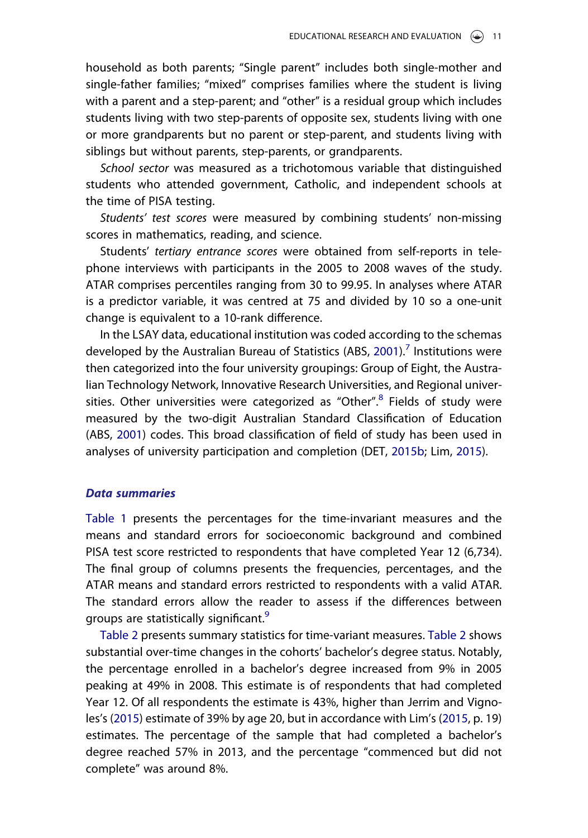household as both parents; "Single parent" includes both single-mother and single-father families; "mixed" comprises families where the student is living with a parent and a step-parent; and "other" is a residual group which includes students living with two step-parents of opposite sex, students living with one or more grandparents but no parent or step-parent, and students living with siblings but without parents, step-parents, or grandparents.

*School sector* was measured as a trichotomous variable that distinguished students who attended government, Catholic, and independent schools at the time of PISA testing.

*Students*' *test scores* were measured by combining students' non-missing scores in mathematics, reading, and science.

Students' *tertiary entrance scores* were obtained from self-reports in telephone interviews with participants in the 2005 to 2008 waves of the study. ATAR comprises percentiles ranging from 30 to 99.95. In analyses where ATAR is a predictor variable, it was centred at 75 and divided by 10 so a one-unit change is equivalent to a 10-rank difference.

In the LSAY data, educational institution was coded according to the schemas developed by the Australian Bureau of Statistics (ABS, 2001).<sup>7</sup> Institutions were then categorized into the four university groupings: Group of Eight, the Australian Technology Network, Innovative Research Universities, and Regional universities. Other universities were categorized as "Other".<sup>8</sup> Fields of study were measured by the two-digit Australian Standard Classification of Education (ABS, 2001) codes. This broad classification of field of study has been used in analyses of university participation and completion (DET, 2015b; Lim, 2015).

#### Data summaries

Table 1 presents the percentages for the time-invariant measures and the means and standard errors for socioeconomic background and combined PISA test score restricted to respondents that have completed Year 12 (6,734). The final group of columns presents the frequencies, percentages, and the ATAR means and standard errors restricted to respondents with a valid ATAR. The standard errors allow the reader to assess if the differences between groups are statistically significant.<sup>9</sup>

Table 2 presents summary statistics for time-variant measures. Table 2 shows substantial over-time changes in the cohorts' bachelor's degree status. Notably, the percentage enrolled in a bachelor's degree increased from 9% in 2005 peaking at 49% in 2008. This estimate is of respondents that had completed Year 12. Of all respondents the estimate is 43%, higher than Jerrim and Vignoles's (2015) estimate of 39% by age 20, but in accordance with Lim's (2015, p. 19) estimates. The percentage of the sample that had completed a bachelor's degree reached 57% in 2013, and the percentage "commenced but did not complete" was around 8%.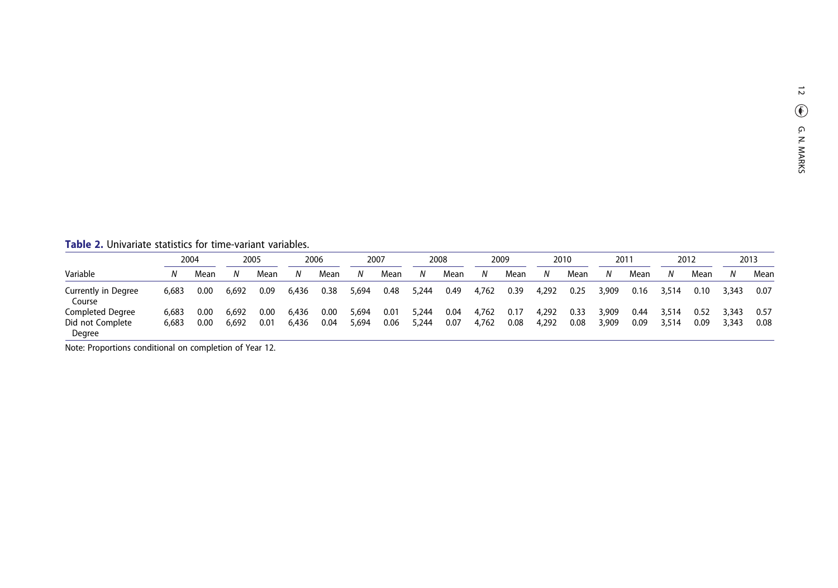### Table 2. Univariate statistics for time-variant variables.

|                               |       | 2004 |       | 2005 |       | 2006 |       | 2007 |       | 2008 |       | 2009 |       | 2010 |       | 2011 |       | 2012 |       | 2013 |  |
|-------------------------------|-------|------|-------|------|-------|------|-------|------|-------|------|-------|------|-------|------|-------|------|-------|------|-------|------|--|
| Variable                      | N     | Mean |       | Mean |       | Mean |       | Mean | N     | Mean | N     | Mean | N     | Mean | Ν     | Mean | N     | Mean | N     | Mean |  |
| Currently in Degree<br>Course | 6,683 | 0.00 | 6.692 | 0.09 | 6,436 | 0.38 | 5,694 | 0.48 | 5,244 | 0.49 | 4,762 | 0.39 | 4,292 | 0.25 | 3,909 | 0.16 | 3.514 | 0.10 | 3,343 | 0.07 |  |
| <b>Completed Degree</b>       | 6,683 | 0.00 | 6.692 | 0.00 | 6.436 | 0.00 | 5,694 | 0.01 | 5,244 | 0.04 | 4,762 | 0.17 | 4,292 | 0.33 | 3,909 | 0.44 | 3,514 | 0.52 | 3,343 | 0.57 |  |
| Did not Complete<br>Degree    | 6,683 | 0.00 | 6.692 | 0.01 | 6.436 | 0.04 | 5.694 | 0.06 | 5,244 | 0.07 | 4,762 | 0.08 | 4,292 | 0.08 | 3,909 | 0.09 | 3,514 | 0.09 | 3,343 | 0.08 |  |

Note: Proportions conditional on completion of Year 12.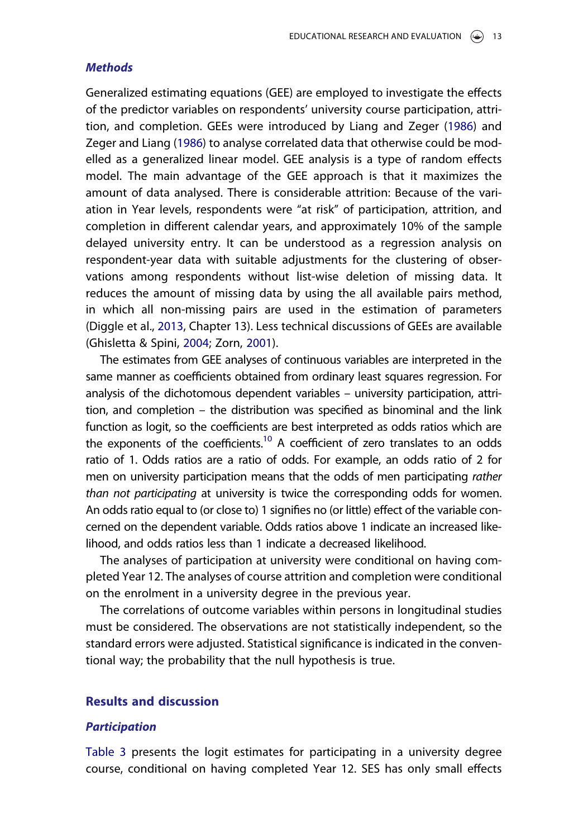#### **Methods**

Generalized estimating equations (GEE) are employed to investigate the effects of the predictor variables on respondents' university course participation, attrition, and completion. GEEs were introduced by Liang and Zeger (1986) and Zeger and Liang (1986) to analyse correlated data that otherwise could be modelled as a generalized linear model. GEE analysis is a type of random effects model. The main advantage of the GEE approach is that it maximizes the amount of data analysed. There is considerable attrition: Because of the variation in Year levels, respondents were "at risk" of participation, attrition, and completion in different calendar years, and approximately 10% of the sample delayed university entry. It can be understood as a regression analysis on respondent-year data with suitable adjustments for the clustering of observations among respondents without list-wise deletion of missing data. It reduces the amount of missing data by using the all available pairs method, in which all non-missing pairs are used in the estimation of parameters (Diggle et al., 2013, Chapter 13). Less technical discussions of GEEs are available (Ghisletta & Spini, 2004; Zorn, 2001).

The estimates from GEE analyses of continuous variables are interpreted in the same manner as coefficients obtained from ordinary least squares regression. For analysis of the dichotomous dependent variables – university participation, attrition, and completion – the distribution was specified as binominal and the link function as logit, so the coefficients are best interpreted as odds ratios which are the exponents of the coefficients.<sup>10</sup> A coefficient of zero translates to an odds ratio of 1. Odds ratios are a ratio of odds. For example, an odds ratio of 2 for men on university participation means that the odds of men participating *rather than not participating* at university is twice the corresponding odds for women. An odds ratio equal to (or close to) 1 signifies no (or little) effect of the variable concerned on the dependent variable. Odds ratios above 1 indicate an increased likelihood, and odds ratios less than 1 indicate a decreased likelihood.

The analyses of participation at university were conditional on having completed Year 12. The analyses of course attrition and completion were conditional on the enrolment in a university degree in the previous year.

The correlations of outcome variables within persons in longitudinal studies must be considered. The observations are not statistically independent, so the standard errors were adjusted. Statistical significance is indicated in the conventional way; the probability that the null hypothesis is true.

### Results and discussion

#### **Participation**

Table 3 presents the logit estimates for participating in a university degree course, conditional on having completed Year 12. SES has only small effects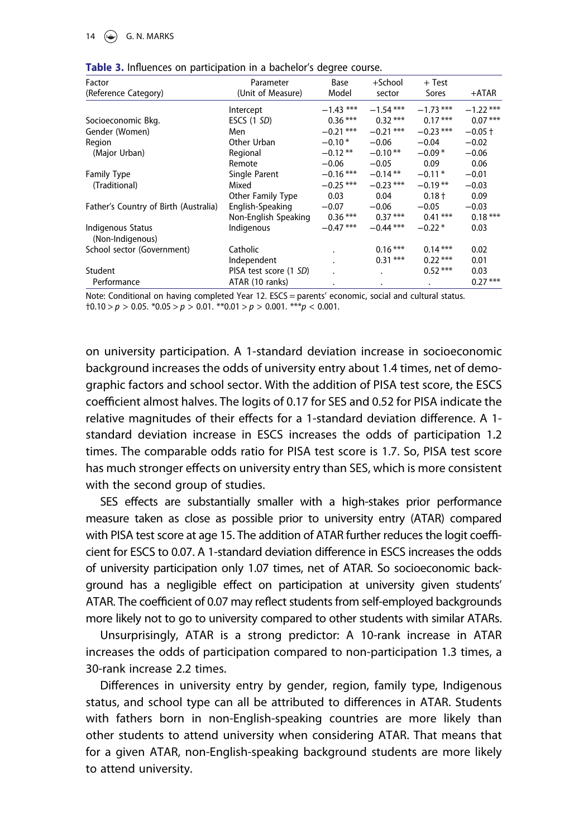#### $14 \quad \circledcirc$  G. N. MARKS

| Factor                                | Parameter              | Base        | +School     | + Test      |             |
|---------------------------------------|------------------------|-------------|-------------|-------------|-------------|
| (Reference Category)                  | (Unit of Measure)      | Model       | sector      | Sores       | $+ATAR$     |
|                                       | Intercept              | $-1.43$ *** | $-1.54$ *** | $-1.73$ *** | $-1.22$ *** |
| Socioeconomic Bkg.                    | ESCS (1 SD)            | $0.36***$   | $0.32***$   | $0.17***$   | $0.07***$   |
| Gender (Women)                        | Men                    | $-0.21$ *** | $-0.21$ *** | $-0.23$ *** | $-0.05+$    |
| Region                                | Other Urban            | $-0.10*$    | $-0.06$     | $-0.04$     | $-0.02$     |
| (Major Urban)                         | Regional               | $-0.12**$   | $-0.10**$   | $-0.09*$    | $-0.06$     |
|                                       | Remote                 | $-0.06$     | $-0.05$     | 0.09        | 0.06        |
| <b>Family Type</b>                    | Single Parent          | $-0.16$ *** | $-0.14$ **  | $-0.11*$    | $-0.01$     |
| (Traditional)                         | Mixed                  | $-0.25$ *** | $-0.23$ *** | $-0.19**$   | $-0.03$     |
|                                       | Other Family Type      | 0.03        | 0.04        | $0.18 +$    | 0.09        |
| Father's Country of Birth (Australia) | English-Speaking       | $-0.07$     | $-0.06$     | $-0.05$     | $-0.03$     |
|                                       | Non-English Speaking   | $0.36***$   | $0.37***$   | $0.41***$   | $0.18***$   |
| Indigenous Status<br>(Non-Indigenous) | Indigenous             | $-0.47$ *** | $-0.44$ *** | $-0.22*$    | 0.03        |
| School sector (Government)            | Catholic               |             | $0.16***$   | $0.14***$   | 0.02        |
|                                       | Independent            |             | $0.31***$   | $0.22***$   | 0.01        |
| Student                               | PISA test score (1 SD) |             |             | $0.52***$   | 0.03        |
| Performance                           | ATAR (10 ranks)        | ٠           | ٠           |             | $0.27***$   |

| Table 3. Influences on participation in a bachelor's degree course. |  |  |  |
|---------------------------------------------------------------------|--|--|--|
|                                                                     |  |  |  |

Note: Conditional on having completed Year 12. ESCS = parents' economic, social and cultural status.  $\frac{10.10}{p} > 0.05$ . \* 0.05  $p > 0.01$ . \* \* 0.01  $p > 0.001$ . \* \* \* p < 0.001.

on university participation. A 1-standard deviation increase in socioeconomic background increases the odds of university entry about 1.4 times, net of demographic factors and school sector. With the addition of PISA test score, the ESCS coefficient almost halves. The logits of 0.17 for SES and 0.52 for PISA indicate the relative magnitudes of their effects for a 1-standard deviation difference. A 1 standard deviation increase in ESCS increases the odds of participation 1.2 times. The comparable odds ratio for PISA test score is 1.7. So, PISA test score has much stronger effects on university entry than SES, which is more consistent with the second group of studies.

SES effects are substantially smaller with a high-stakes prior performance measure taken as close as possible prior to university entry (ATAR) compared with PISA test score at age 15. The addition of ATAR further reduces the logit coefficient for ESCS to 0.07. A 1-standard deviation difference in ESCS increases the odds of university participation only 1.07 times, net of ATAR. So socioeconomic background has a negligible effect on participation at university given students' ATAR. The coefficient of 0.07 may reflect students from self-employed backgrounds more likely not to go to university compared to other students with similar ATARs.

Unsurprisingly, ATAR is a strong predictor: A 10-rank increase in ATAR increases the odds of participation compared to non-participation 1.3 times, a 30-rank increase 2.2 times.

Differences in university entry by gender, region, family type, Indigenous status, and school type can all be attributed to differences in ATAR. Students with fathers born in non-English-speaking countries are more likely than other students to attend university when considering ATAR. That means that for a given ATAR, non-English-speaking background students are more likely to attend university.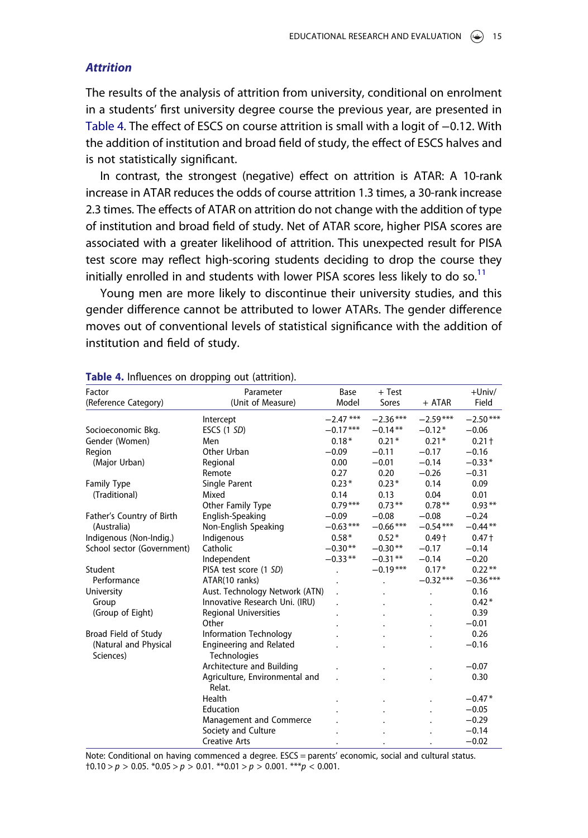### **Attrition**

The results of the analysis of attrition from university, conditional on enrolment in a students' first university degree course the previous year, are presented in Table 4. The effect of ESCS on course attrition is small with a logit of −0.12. With the addition of institution and broad field of study, the effect of ESCS halves and is not statistically significant.

In contrast, the strongest (negative) effect on attrition is ATAR: A 10-rank increase in ATAR reduces the odds of course attrition 1.3 times, a 30-rank increase 2.3 times. The effects of ATAR on attrition do not change with the addition of type of institution and broad field of study. Net of ATAR score, higher PISA scores are associated with a greater likelihood of attrition. This unexpected result for PISA test score may reflect high-scoring students deciding to drop the course they initially enrolled in and students with lower PISA scores less likely to do so.<sup>11</sup>

Young men are more likely to discontinue their university studies, and this gender difference cannot be attributed to lower ATARs. The gender difference moves out of conventional levels of statistical significance with the addition of institution and field of study.

| Factor                             | Parameter                                      | Base        | $+$ Test    |            | $+$ Univ/  |
|------------------------------------|------------------------------------------------|-------------|-------------|------------|------------|
| (Reference Category)               | (Unit of Measure)                              | Model       | Sores       | $+ ATAR$   | Field      |
|                                    | Intercept                                      | $-2.47$ *** | $-2.36***$  | $-2.59***$ | $-2.50***$ |
| Socioeconomic Bkg.                 | ESCS (1 SD)                                    | $-0.17***$  | $-0.14**$   | $-0.12*$   | $-0.06$    |
| Gender (Women)                     | Men                                            | $0.18*$     | $0.21*$     | $0.21*$    | $0.21 +$   |
| Region                             | Other Urban                                    | $-0.09$     | $-0.11$     | $-0.17$    | $-0.16$    |
| (Major Urban)                      | Regional                                       | 0.00        | $-0.01$     | $-0.14$    | $-0.33*$   |
|                                    | Remote                                         | 0.27        | 0.20        | $-0.26$    | $-0.31$    |
| <b>Family Type</b>                 | Single Parent                                  | $0.23*$     | $0.23*$     | 0.14       | 0.09       |
| (Traditional)                      | Mixed                                          | 0.14        | 0.13        | 0.04       | 0.01       |
|                                    | Other Family Type                              | $0.79***$   | $0.73***$   | $0.78**$   | $0.93***$  |
| Father's Country of Birth          | English-Speaking                               | $-0.09$     | $-0.08$     | $-0.08$    | $-0.24$    |
| (Australia)                        | Non-English Speaking                           | $-0.63***$  | $-0.66$ *** | $-0.54***$ | $-0.44**$  |
| Indigenous (Non-Indig.)            | Indigenous                                     | $0.58*$     | $0.52*$     | $0.49 +$   | $0.47 +$   |
| School sector (Government)         | Catholic                                       | $-0.30**$   | $-0.30**$   | $-0.17$    | $-0.14$    |
|                                    | Independent                                    | $-0.33**$   | $-0.31**$   | $-0.14$    | $-0.20$    |
| Student                            | PISA test score (1 SD)                         |             | $-0.19***$  | $0.17*$    | $0.22**$   |
| Performance                        | ATAR(10 ranks)                                 |             |             | $-0.32***$ | $-0.36***$ |
| University                         | Aust. Technology Network (ATN)                 |             |             |            | 0.16       |
| Group                              | Innovative Research Uni. (IRU)                 |             |             |            | $0.42*$    |
| (Group of Eight)                   | <b>Regional Universities</b>                   |             |             |            | 0.39       |
|                                    | Other                                          |             |             |            | $-0.01$    |
| Broad Field of Study               | Information Technology                         |             |             |            | 0.26       |
| (Natural and Physical<br>Sciences) | <b>Engineering and Related</b><br>Technologies |             |             |            | $-0.16$    |
|                                    | Architecture and Building                      |             |             |            | $-0.07$    |
|                                    | Agriculture, Environmental and<br>Relat.       |             |             |            | 0.30       |
|                                    | Health                                         |             |             |            | $-0.47*$   |
|                                    | Education                                      |             |             |            | $-0.05$    |
|                                    | Management and Commerce                        |             |             |            | $-0.29$    |
|                                    | Society and Culture                            |             |             |            | $-0.14$    |
|                                    | <b>Creative Arts</b>                           |             |             |            | $-0.02$    |

Table 4. Influences on dropping out (attrition).

Note: Conditional on having commenced a degree. ESCS = parents' economic, social and cultural status.  $\frac{10.10}{p} > 0.05$ . \* 0.05  $\ge p > 0.01$ . \* \* 0.01  $\ge p > 0.001$ . \* \* \* p < 0.001.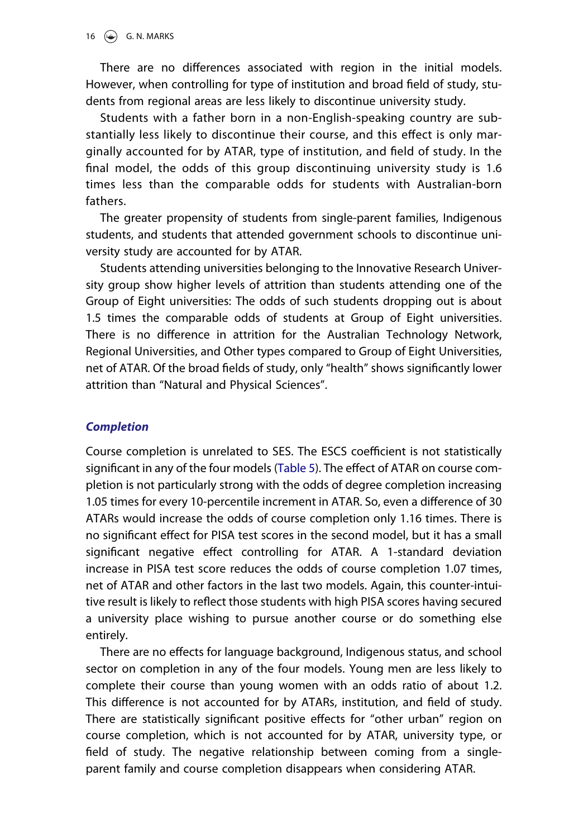There are no differences associated with region in the initial models. However, when controlling for type of institution and broad field of study, students from regional areas are less likely to discontinue university study.

Students with a father born in a non-English-speaking country are substantially less likely to discontinue their course, and this effect is only marginally accounted for by ATAR, type of institution, and field of study. In the final model, the odds of this group discontinuing university study is 1.6 times less than the comparable odds for students with Australian-born fathers.

The greater propensity of students from single-parent families, Indigenous students, and students that attended government schools to discontinue university study are accounted for by ATAR.

Students attending universities belonging to the Innovative Research University group show higher levels of attrition than students attending one of the Group of Eight universities: The odds of such students dropping out is about 1.5 times the comparable odds of students at Group of Eight universities. There is no difference in attrition for the Australian Technology Network, Regional Universities, and Other types compared to Group of Eight Universities, net of ATAR. Of the broad fields of study, only "health" shows significantly lower attrition than "Natural and Physical Sciences".

### Completion

Course completion is unrelated to SES. The ESCS coefficient is not statistically significant in any of the four models (Table 5). The effect of ATAR on course completion is not particularly strong with the odds of degree completion increasing 1.05 times for every 10-percentile increment in ATAR. So, even a difference of 30 ATARs would increase the odds of course completion only 1.16 times. There is no significant effect for PISA test scores in the second model, but it has a small significant negative effect controlling for ATAR. A 1-standard deviation increase in PISA test score reduces the odds of course completion 1.07 times, net of ATAR and other factors in the last two models. Again, this counter-intuitive result is likely to reflect those students with high PISA scores having secured a university place wishing to pursue another course or do something else entirely.

There are no effects for language background, Indigenous status, and school sector on completion in any of the four models. Young men are less likely to complete their course than young women with an odds ratio of about 1.2. This difference is not accounted for by ATARs, institution, and field of study. There are statistically significant positive effects for "other urban" region on course completion, which is not accounted for by ATAR, university type, or field of study. The negative relationship between coming from a singleparent family and course completion disappears when considering ATAR.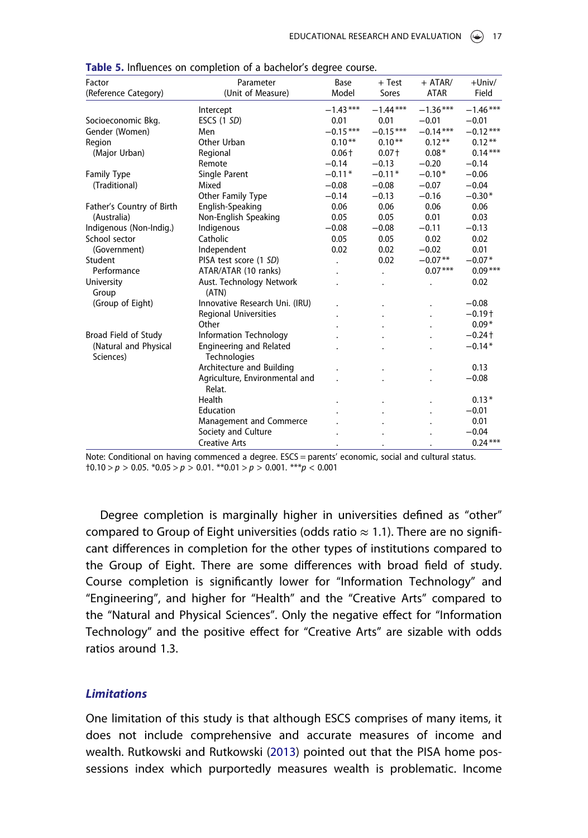| Field<br>$-1.46***$<br>$-0.01$<br>$-0.12***$ |
|----------------------------------------------|
|                                              |
|                                              |
|                                              |
|                                              |
| $0.12***$                                    |
| $0.14***$                                    |
| $-0.14$                                      |
| $-0.06$                                      |
| $-0.04$                                      |
| $-0.30*$                                     |
| 0.06                                         |
| 0.03                                         |
| $-0.13$                                      |
| 0.02                                         |
| 0.01                                         |
| $-0.07*$                                     |
| $0.09***$                                    |
| 0.02                                         |
| $-0.08$                                      |
| $-0.19 +$                                    |
| $0.09*$                                      |
| $-0.24 +$                                    |
| $-0.14*$                                     |
| 0.13                                         |
| $-0.08$                                      |
| $0.13*$                                      |
| $-0.01$                                      |
| 0.01                                         |
| $-0.04$                                      |
| $0.24***$                                    |
|                                              |

Table 5. Influences on completion of a bachelor's degree course.

Note: Conditional on having commenced a degree. ESCS = parents' economic, social and cultural status.  $\frac{10.10}{p} > 0.05$ . \* 0.05  $\frac{10.05}{p} > 0.01$ . \* \* 0.01  $\frac{10.001}{p} < 0.001$ . \* \* \* p  $\frac{10.001}{p}$ 

Degree completion is marginally higher in universities defined as "other" compared to Group of Eight universities (odds ratio  $\approx$  1.1). There are no significant differences in completion for the other types of institutions compared to the Group of Eight. There are some differences with broad field of study. Course completion is significantly lower for "Information Technology" and "Engineering", and higher for "Health" and the "Creative Arts" compared to the "Natural and Physical Sciences". Only the negative effect for "Information Technology" and the positive effect for "Creative Arts" are sizable with odds ratios around 1.3.

### **Limitations**

One limitation of this study is that although ESCS comprises of many items, it does not include comprehensive and accurate measures of income and wealth. Rutkowski and Rutkowski (2013) pointed out that the PISA home possessions index which purportedly measures wealth is problematic. Income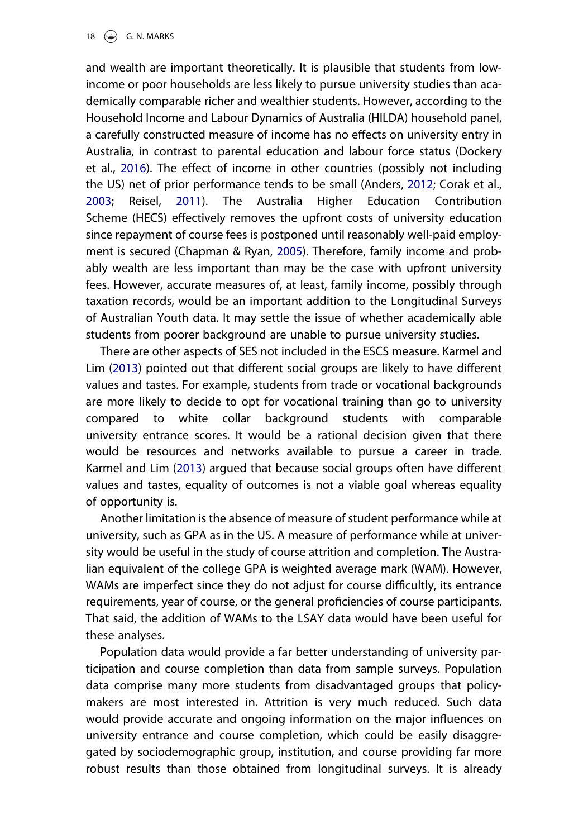and wealth are important theoretically. It is plausible that students from lowincome or poor households are less likely to pursue university studies than academically comparable richer and wealthier students. However, according to the Household Income and Labour Dynamics of Australia (HILDA) household panel, a carefully constructed measure of income has no effects on university entry in Australia, in contrast to parental education and labour force status (Dockery et al., 2016). The effect of income in other countries (possibly not including the US) net of prior performance tends to be small (Anders, 2012; Corak et al., 2003; Reisel, 2011). The Australia Higher Education Contribution Scheme (HECS) effectively removes the upfront costs of university education since repayment of course fees is postponed until reasonably well-paid employment is secured (Chapman & Ryan, 2005). Therefore, family income and probably wealth are less important than may be the case with upfront university fees. However, accurate measures of, at least, family income, possibly through taxation records, would be an important addition to the Longitudinal Surveys of Australian Youth data. It may settle the issue of whether academically able students from poorer background are unable to pursue university studies.

There are other aspects of SES not included in the ESCS measure. Karmel and Lim (2013) pointed out that different social groups are likely to have different values and tastes. For example, students from trade or vocational backgrounds are more likely to decide to opt for vocational training than go to university compared to white collar background students with comparable university entrance scores. It would be a rational decision given that there would be resources and networks available to pursue a career in trade. Karmel and Lim (2013) argued that because social groups often have different values and tastes, equality of outcomes is not a viable goal whereas equality of opportunity is.

Another limitation is the absence of measure of student performance while at university, such as GPA as in the US. A measure of performance while at university would be useful in the study of course attrition and completion. The Australian equivalent of the college GPA is weighted average mark (WAM). However, WAMs are imperfect since they do not adjust for course difficultly, its entrance requirements, year of course, or the general proficiencies of course participants. That said, the addition of WAMs to the LSAY data would have been useful for these analyses.

Population data would provide a far better understanding of university participation and course completion than data from sample surveys. Population data comprise many more students from disadvantaged groups that policymakers are most interested in. Attrition is very much reduced. Such data would provide accurate and ongoing information on the major influences on university entrance and course completion, which could be easily disaggregated by sociodemographic group, institution, and course providing far more robust results than those obtained from longitudinal surveys. It is already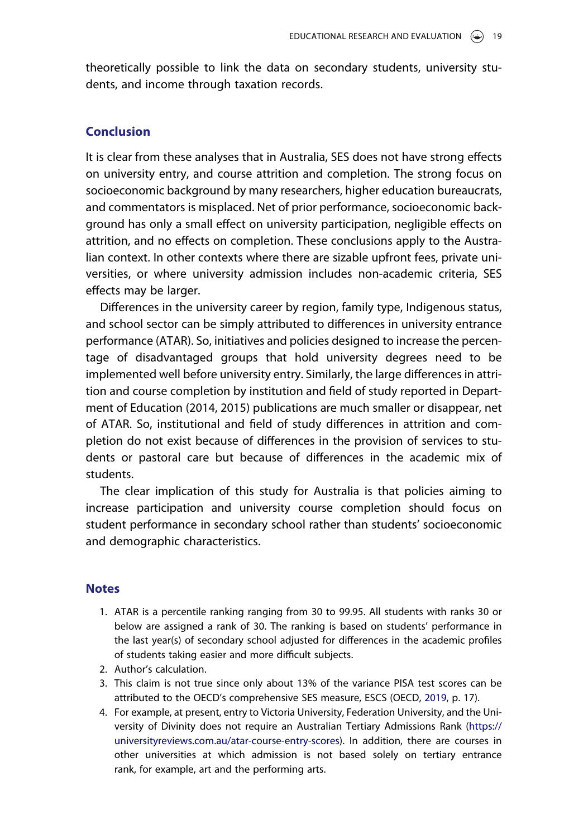theoretically possible to link the data on secondary students, university students, and income through taxation records.

### Conclusion

It is clear from these analyses that in Australia, SES does not have strong effects on university entry, and course attrition and completion. The strong focus on socioeconomic background by many researchers, higher education bureaucrats, and commentators is misplaced. Net of prior performance, socioeconomic background has only a small effect on university participation, negligible effects on attrition, and no effects on completion. These conclusions apply to the Australian context. In other contexts where there are sizable upfront fees, private universities, or where university admission includes non-academic criteria, SES effects may be larger.

Differences in the university career by region, family type, Indigenous status, and school sector can be simply attributed to differences in university entrance performance (ATAR). So, initiatives and policies designed to increase the percentage of disadvantaged groups that hold university degrees need to be implemented well before university entry. Similarly, the large differences in attrition and course completion by institution and field of study reported in Department of Education (2014, 2015) publications are much smaller or disappear, net of ATAR. So, institutional and field of study differences in attrition and completion do not exist because of differences in the provision of services to students or pastoral care but because of differences in the academic mix of students.

The clear implication of this study for Australia is that policies aiming to increase participation and university course completion should focus on student performance in secondary school rather than students' socioeconomic and demographic characteristics.

### **Notes**

- 1. ATAR is a percentile ranking ranging from 30 to 99.95. All students with ranks 30 or below are assigned a rank of 30. The ranking is based on students' performance in the last year(s) of secondary school adjusted for differences in the academic profiles of students taking easier and more difficult subjects.
- 2. Author's calculation.
- 3. This claim is not true since only about 13% of the variance PISA test scores can be attributed to the OECD's comprehensive SES measure, ESCS (OECD, 2019, p. 17).
- 4. For example, at present, entry to Victoria University, Federation University, and the University of Divinity does not require an Australian Tertiary Admissions Rank (https:// universityreviews.com.au/atar-course-entry-scores). In addition, there are courses in other universities at which admission is not based solely on tertiary entrance rank, for example, art and the performing arts.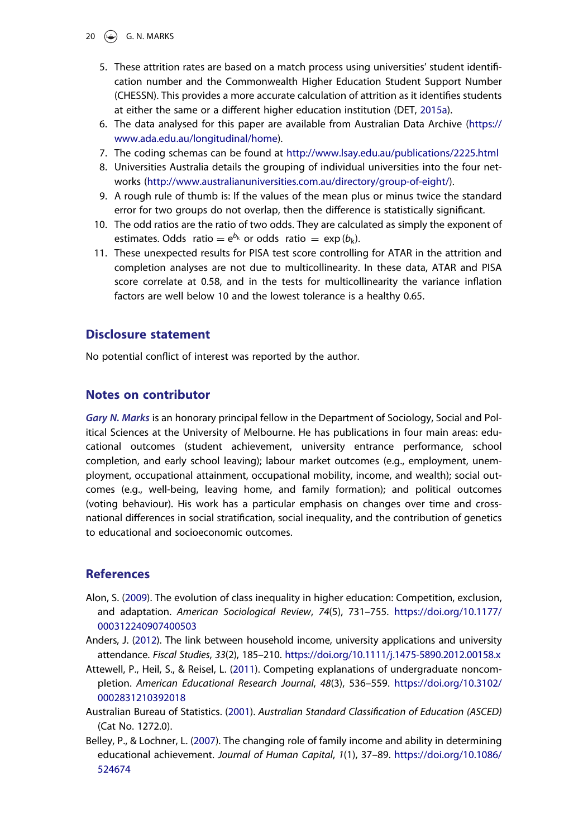- $20 \quad \circledcirc$  G. N. MARKS
	- 5. These attrition rates are based on a match process using universities' student identification number and the Commonwealth Higher Education Student Support Number (CHESSN). This provides a more accurate calculation of attrition as it identifies students at either the same or a different higher education institution (DET, 2015a).
	- 6. The data analysed for this paper are available from Australian Data Archive (https:// www.ada.edu.au/longitudinal/home).
	- 7. The coding schemas can be found at http://www.lsay.edu.au/publications/2225.html
	- 8. Universities Australia details the grouping of individual universities into the four networks (http://www.australianuniversities.com.au/directory/group-of-eight/).
	- 9. A rough rule of thumb is: If the values of the mean plus or minus twice the standard error for two groups do not overlap, then the difference is statistically significant.
	- 10. The odd ratios are the ratio of two odds. They are calculated as simply the exponent of estimates. Odds ratio =  $e^{b_k}$  or odds ratio =  $\exp{(b_k)}$ .
	- 11. These unexpected results for PISA test score controlling for ATAR in the attrition and completion analyses are not due to multicollinearity. In these data, ATAR and PISA score correlate at 0.58, and in the tests for multicollinearity the variance inflation factors are well below 10 and the lowest tolerance is a healthy 0.65.

### Disclosure statement

No potential conflict of interest was reported by the author.

### Notes on contributor

Gary N. Marks is an honorary principal fellow in the Department of Sociology, Social and Political Sciences at the University of Melbourne. He has publications in four main areas: educational outcomes (student achievement, university entrance performance, school completion, and early school leaving); labour market outcomes (e.g., employment, unemployment, occupational attainment, occupational mobility, income, and wealth); social outcomes (e.g., well-being, leaving home, and family formation); and political outcomes (voting behaviour). His work has a particular emphasis on changes over time and crossnational differences in social stratification, social inequality, and the contribution of genetics to educational and socioeconomic outcomes.

### **References**

- Alon, S. (2009). The evolution of class inequality in higher education: Competition, exclusion, and adaptation. *American Sociological Review*, *74*(5), 731–755. https://doi.org/10.1177/ 000312240907400503
- Anders, J. (2012). The link between household income, university applications and university attendance. *Fiscal Studies*, *33*(2), 185–210. https://doi.org/10.1111/j.1475-5890.2012.00158.x
- Attewell, P., Heil, S., & Reisel, L. (2011). Competing explanations of undergraduate noncompletion. *American Educational Research Journal*, *48*(3), 536–559. https://doi.org/10.3102/ 0002831210392018
- Australian Bureau of Statistics. (2001). *Australian Standard Classi*fi*cation of Education (ASCED)* (Cat No. 1272.0).
- Belley, P., & Lochner, L. (2007). The changing role of family income and ability in determining educational achievement. *Journal of Human Capital*, *1*(1), 37–89. https://doi.org/10.1086/ 524674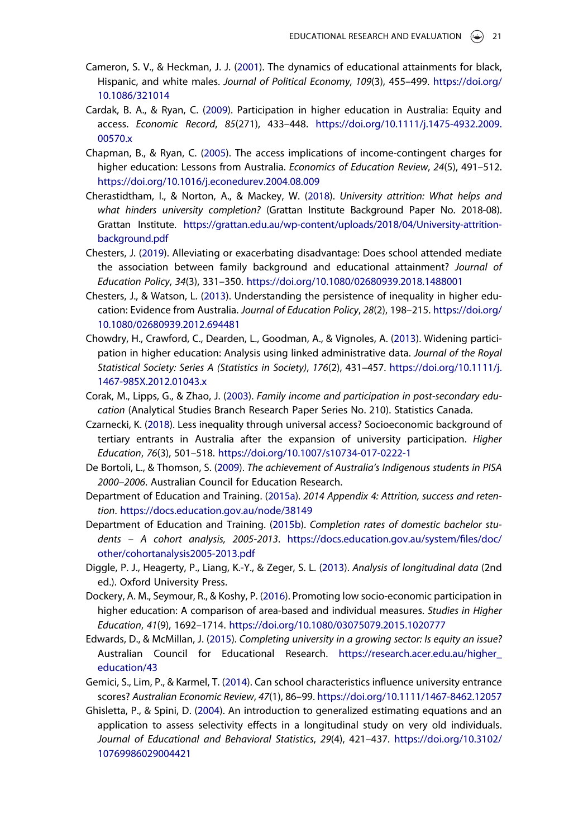- Cameron, S. V., & Heckman, J. J. (2001). The dynamics of educational attainments for black, Hispanic, and white males. *Journal of Political Economy*, *109*(3), 455–499. https://doi.org/ 10.1086/321014
- Cardak, B. A., & Ryan, C. (2009). Participation in higher education in Australia: Equity and access. *Economic Record*, *85*(271), 433–448. https://doi.org/10.1111/j.1475-4932.2009. 00570.x
- Chapman, B., & Ryan, C. (2005). The access implications of income-contingent charges for higher education: Lessons from Australia. *Economics of Education Review*, *24*(5), 491–512. https://doi.org/10.1016/j.econedurev.2004.08.009
- Cherastidtham, I., & Norton, A., & Mackey, W. (2018). *University attrition: What helps and what hinders university completion?* (Grattan Institute Background Paper No. 2018-08). Grattan Institute. https://grattan.edu.au/wp-content/uploads/2018/04/University-attritionbackground.pdf
- Chesters, J. (2019). Alleviating or exacerbating disadvantage: Does school attended mediate the association between family background and educational attainment? *Journal of Education Policy*, *34*(3), 331–350. https://doi.org/10.1080/02680939.2018.1488001
- Chesters, J., & Watson, L. (2013). Understanding the persistence of inequality in higher education: Evidence from Australia. *Journal of Education Policy*, *28*(2), 198–215. https://doi.org/ 10.1080/02680939.2012.694481
- Chowdry, H., Crawford, C., Dearden, L., Goodman, A., & Vignoles, A. (2013). Widening participation in higher education: Analysis using linked administrative data. *Journal of the Royal Statistical Society: Series A (Statistics in Society)*, *176*(2), 431–457. https://doi.org/10.1111/j. 1467-985X.2012.01043.x
- Corak, M., Lipps, G., & Zhao, J. (2003). *Family income and participation in post-secondary education* (Analytical Studies Branch Research Paper Series No. 210). Statistics Canada.
- Czarnecki, K. (2018). Less inequality through universal access? Socioeconomic background of tertiary entrants in Australia after the expansion of university participation. *Higher Education*, *76*(3), 501–518. https://doi.org/10.1007/s10734-017-0222-1
- De Bortoli, L., & Thomson, S. (2009). *The achievement of Australia*'*s Indigenous students in PISA 2000*–*2006*. Australian Council for Education Research.
- Department of Education and Training. (2015a). *2014 Appendix 4: Attrition, success and retention*. https://docs.education.gov.au/node/38149
- Department of Education and Training. (2015b). *Completion rates of domestic bachelor students* – *A cohort analysis, 2005-2013*. https://docs.education.gov.au/system/files/doc/ other/cohortanalysis2005-2013.pdf
- Diggle, P. J., Heagerty, P., Liang, K.-Y., & Zeger, S. L. (2013). *Analysis of longitudinal data* (2nd ed.). Oxford University Press.
- Dockery, A. M., Seymour, R., & Koshy, P. (2016). Promoting low socio-economic participation in higher education: A comparison of area-based and individual measures. *Studies in Higher Education*, *41*(9), 1692–1714. https://doi.org/10.1080/03075079.2015.1020777
- Edwards, D., & McMillan, J. (2015). *Completing university in a growing sector: Is equity an issue?* Australian Council for Educational Research. https://research.acer.edu.au/higher\_ education/43
- Gemici, S., Lim, P., & Karmel, T. (2014). Can school characteristics influence university entrance scores? *Australian Economic Review*, *47*(1), 86–99. https://doi.org/10.1111/1467-8462.12057
- Ghisletta, P., & Spini, D. (2004). An introduction to generalized estimating equations and an application to assess selectivity effects in a longitudinal study on very old individuals. *Journal of Educational and Behavioral Statistics*, *29*(4), 421–437. https://doi.org/10.3102/ 10769986029004421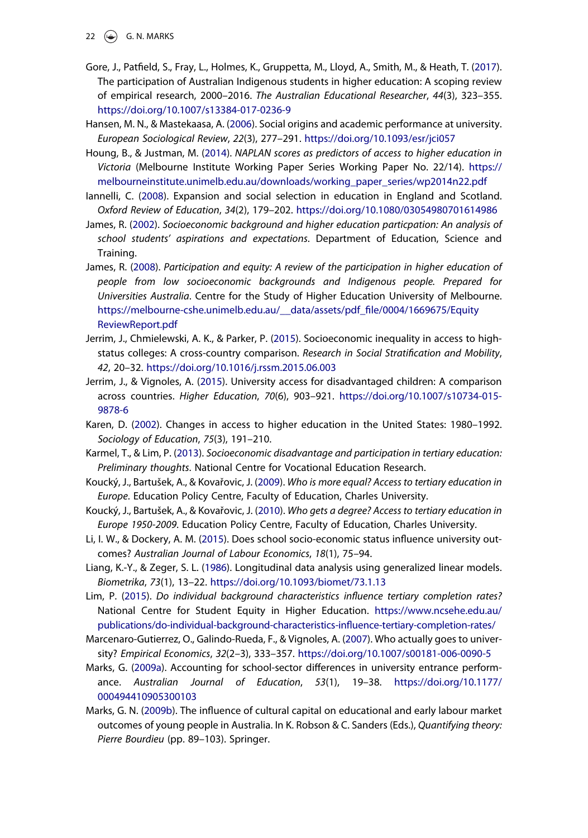- 22  $\left(\bigoplus$  G. N. MARKS
- Gore, J., Patfield, S., Fray, L., Holmes, K., Gruppetta, M., Lloyd, A., Smith, M., & Heath, T. (2017). The participation of Australian Indigenous students in higher education: A scoping review of empirical research, 2000–2016. *The Australian Educational Researcher*, *44*(3), 323–355. https://doi.org/10.1007/s13384-017-0236-9
- Hansen, M. N., & Mastekaasa, A. (2006). Social origins and academic performance at university. *European Sociological Review*, *22*(3), 277–291. https://doi.org/10.1093/esr/jci057
- Houng, B., & Justman, M. (2014). *NAPLAN scores as predictors of access to higher education in Victoria* (Melbourne Institute Working Paper Series Working Paper No. 22/14). https:// melbourneinstitute.unimelb.edu.au/downloads/working\_paper\_series/wp2014n22.pdf
- Iannelli, C. (2008). Expansion and social selection in education in England and Scotland. *Oxford Review of Education*, *34*(2), 179–202. https://doi.org/10.1080/03054980701614986
- James, R. (2002). *Socioeconomic background and higher education particpation: An analysis of school students*' *aspirations and expectations*. Department of Education, Science and Training.
- James, R. (2008). *Participation and equity: A review of the participation in higher education of people from low socioeconomic backgrounds and Indigenous people. Prepared for Universities Australia*. Centre for the Study of Higher Education University of Melbourne. https://melbourne-cshe.unimelb.edu.au/\_\_data/assets/pdf\_file/0004/1669675/Equity ReviewReport.pdf
- Jerrim, J., Chmielewski, A. K., & Parker, P. (2015). Socioeconomic inequality in access to highstatus colleges: A cross-country comparison. *Research in Social Strati*fi*cation and Mobility*, *42*, 20–32. https://doi.org/10.1016/j.rssm.2015.06.003
- Jerrim, J., & Vignoles, A. (2015). University access for disadvantaged children: A comparison across countries. *Higher Education*, *70*(6), 903–921. https://doi.org/10.1007/s10734-015- 9878-6
- Karen, D. (2002). Changes in access to higher education in the United States: 1980–1992. *Sociology of Education*, *75*(3), 191–210.
- Karmel, T., & Lim, P. (2013). *Socioeconomic disadvantage and participation in tertiary education: Preliminary thoughts*. National Centre for Vocational Education Research.
- Koucký, J., Bartušek, A., & Kovařovic, J. (2009). *Who is more equal? Access to tertiary education in Europe*. Education Policy Centre, Faculty of Education, Charles University.
- Koucký, J., Bartušek, A., & Kovařovic, J. (2010). *Who gets a degree? Access to tertiary education in Europe 1950-2009*. Education Policy Centre, Faculty of Education, Charles University.
- Li, I. W., & Dockery, A. M. (2015). Does school socio-economic status influence university outcomes? *Australian Journal of Labour Economics*, *18*(1), 75–94.
- Liang, K.-Y., & Zeger, S. L. (1986). Longitudinal data analysis using generalized linear models. *Biometrika*, *73*(1), 13–22. https://doi.org/10.1093/biomet/73.1.13
- Lim, P. (2015). *Do individual background characteristics in*fl*uence tertiary completion rates?* National Centre for Student Equity in Higher Education. https://www.ncsehe.edu.au/ publications/do-individual-background-characteristics-influence-tertiary-completion-rates/
- Marcenaro-Gutierrez, O., Galindo-Rueda, F., & Vignoles, A. (2007). Who actually goes to university? *Empirical Economics*, *32*(2–3), 333–357. https://doi.org/10.1007/s00181-006-0090-5
- Marks, G. (2009a). Accounting for school-sector differences in university entrance performance. *Australian Journal of Education*, *53*(1), 19–38. https://doi.org/10.1177/ 000494410905300103
- Marks, G. N. (2009b). The influence of cultural capital on educational and early labour market outcomes of young people in Australia. In K. Robson & C. Sanders (Eds.), *Quantifying theory: Pierre Bourdieu* (pp. 89–103). Springer.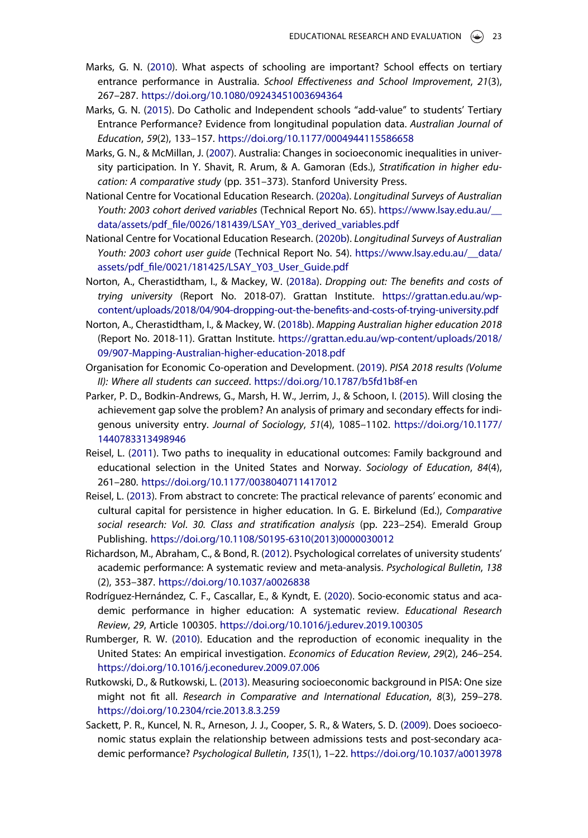- Marks, G. N. (2010). What aspects of schooling are important? School effects on tertiary entrance performance in Australia. *School E*ff*ectiveness and School Improvement*, *21*(3), 267–287. https://doi.org/10.1080/09243451003694364
- Marks, G. N. (2015). Do Catholic and Independent schools "add-value" to students' Tertiary Entrance Performance? Evidence from longitudinal population data. *Australian Journal of Education*, *59*(2), 133–157. https://doi.org/10.1177/0004944115586658
- Marks, G. N., & McMillan, J. (2007). Australia: Changes in socioeconomic inequalities in university participation. In Y. Shavit, R. Arum, & A. Gamoran (Eds.), *Strati*fi*cation in higher education: A comparative study* (pp. 351–373). Stanford University Press.
- National Centre for Vocational Education Research. (2020a). *Longitudinal Surveys of Australian Youth: 2003 cohort derived variables* (Technical Report No. 65). https://www.lsay.edu.au/\_\_ data/assets/pdf\_file/0026/181439/LSAY\_Y03\_derived\_variables.pdf
- National Centre for Vocational Education Research. (2020b). *Longitudinal Surveys of Australian Youth: 2003 cohort user guide* (Technical Report No. 54). https://www.lsay.edu.au/\_\_data/ assets/pdf\_file/0021/181425/LSAY\_Y03\_User\_Guide.pdf
- Norton, A., Cherastidtham, I., & Mackey, W. (2018a). *Dropping out: The bene*fi*ts and costs of trying university* (Report No. 2018-07). Grattan Institute. https://grattan.edu.au/wpcontent/uploads/2018/04/904-dropping-out-the-benefits-and-costs-of-trying-university.pdf
- Norton, A., Cherastidtham, I., & Mackey, W. (2018b). *Mapping Australian higher education 2018* (Report No. 2018-11). Grattan Institute. https://grattan.edu.au/wp-content/uploads/2018/ 09/907-Mapping-Australian-higher-education-2018.pdf
- Organisation for Economic Co-operation and Development. (2019). *PISA 2018 results (Volume II): Where all students can succeed*. https://doi.org/10.1787/b5fd1b8f-en
- Parker, P. D., Bodkin-Andrews, G., Marsh, H. W., Jerrim, J., & Schoon, I. (2015). Will closing the achievement gap solve the problem? An analysis of primary and secondary effects for indigenous university entry. *Journal of Sociology*, *51*(4), 1085–1102. https://doi.org/10.1177/ 1440783313498946
- Reisel, L. (2011). Two paths to inequality in educational outcomes: Family background and educational selection in the United States and Norway. *Sociology of Education*, *84*(4), 261–280. https://doi.org/10.1177/0038040711417012
- Reisel, L. (2013). From abstract to concrete: The practical relevance of parents' economic and cultural capital for persistence in higher education. In G. E. Birkelund (Ed.), *Comparative social research: Vol*. *30. Class and strati*fi*cation analysis* (pp. 223–254). Emerald Group Publishing. https://doi.org/10.1108/S0195-6310(2013)0000030012
- Richardson, M., Abraham, C., & Bond, R. (2012). Psychological correlates of university students' academic performance: A systematic review and meta-analysis. *Psychological Bulletin*, *138* (2), 353–387. https://doi.org/10.1037/a0026838
- Rodríguez-Hernández, C. F., Cascallar, E., & Kyndt, E. (2020). Socio-economic status and academic performance in higher education: A systematic review. *Educational Research Review*, *29*, Article 100305. https://doi.org/10.1016/j.edurev.2019.100305
- Rumberger, R. W. (2010). Education and the reproduction of economic inequality in the United States: An empirical investigation. *Economics of Education Review*, *29*(2), 246–254. https://doi.org/10.1016/j.econedurev.2009.07.006
- Rutkowski, D., & Rutkowski, L. (2013). Measuring socioeconomic background in PISA: One size might not fit all. *Research in Comparative and International Education*, *8*(3), 259–278. https://doi.org/10.2304/rcie.2013.8.3.259
- Sackett, P. R., Kuncel, N. R., Arneson, J. J., Cooper, S. R., & Waters, S. D. (2009). Does socioeconomic status explain the relationship between admissions tests and post-secondary academic performance? *Psychological Bulletin*, *135*(1), 1–22. https://doi.org/10.1037/a0013978